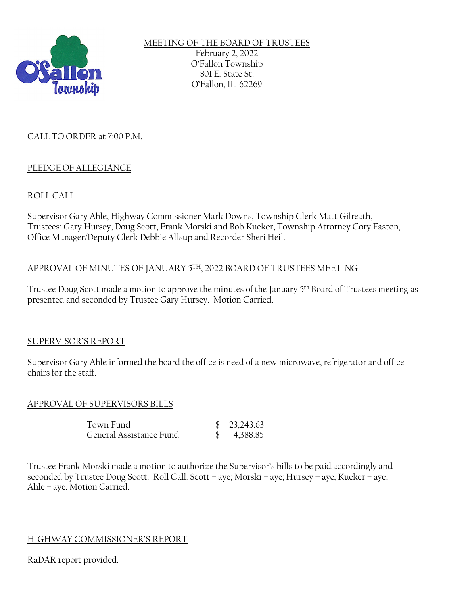

# MEETING OF THE BOARD OF TRUSTEES February 2, 2022 O'Fallon Township 801 E. State St. O'Fallon, IL 62269

# CALL TO ORDER at 7:00 P.M.

# PLEDGE OF ALLEGIANCE

# ROLL CALL

Supervisor Gary Ahle, Highway Commissioner Mark Downs, Township Clerk Matt Gilreath, Trustees: Gary Hursey, Doug Scott, Frank Morski and Bob Kueker, Township Attorney Cory Easton, Office Manager/Deputy Clerk Debbie Allsup and Recorder Sheri Heil.

# APPROVAL OF MINUTES OF JANUARY 5TH, 2022 BOARD OF TRUSTEES MEETING

Trustee Doug Scott made a motion to approve the minutes of the January 5th Board of Trustees meeting as presented and seconded by Trustee Gary Hursey. Motion Carried.

## SUPERVISOR'S REPORT

Supervisor Gary Ahle informed the board the office is need of a new microwave, refrigerator and office chairs for the staff.

## APPROVAL OF SUPERVISORS BILLS

| Town Fund               | $\frac{1}{2}$ 23,243.63 |
|-------------------------|-------------------------|
| General Assistance Fund | \$4,388.85              |

Trustee Frank Morski made a motion to authorize the Supervisor's bills to be paid accordingly and seconded by Trustee Doug Scott. Roll Call: Scott – aye; Morski – aye; Hursey – aye; Kueker – aye; Ahle – aye. Motion Carried.

## HIGHWAY COMMISSIONER'S REPORT

RaDAR report provided.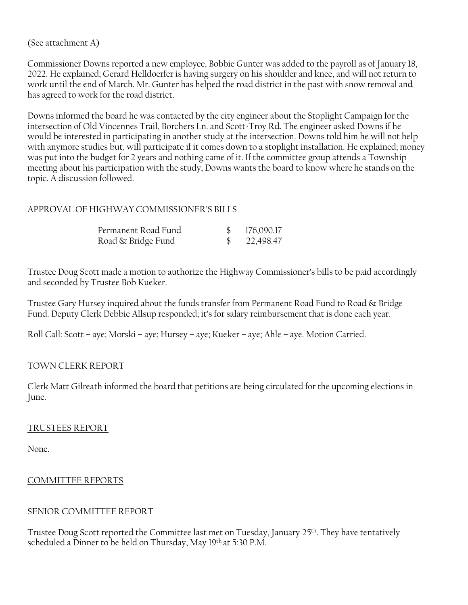## (See attachment A)

Commissioner Downs reported a new employee, Bobbie Gunter was added to the payroll as of January 18, 2022. He explained; Gerard Helldoerfer is having surgery on his shoulder and knee, and will not return to work until the end of March. Mr. Gunter has helped the road district in the past with snow removal and has agreed to work for the road district.

Downs informed the board he was contacted by the city engineer about the Stoplight Campaign for the intersection of Old Vincennes Trail, Borchers Ln. and Scott-Troy Rd. The engineer asked Downs if he would be interested in participating in another study at the intersection. Downs told him he will not help with anymore studies but, will participate if it comes down to a stoplight installation. He explained; money was put into the budget for 2 years and nothing came of it. If the committee group attends a Township meeting about his participation with the study, Downs wants the board to know where he stands on the topic. A discussion followed.

#### APPROVAL OF HIGHWAY COMMISSIONER'S BILLS

| Permanent Road Fund | 176,090.17             |
|---------------------|------------------------|
| Road & Bridge Fund  | $\frac{\$}{22,498.47}$ |

Trustee Doug Scott made a motion to authorize the Highway Commissioner's bills to be paid accordingly and seconded by Trustee Bob Kueker.

Trustee Gary Hursey inquired about the funds transfer from Permanent Road Fund to Road & Bridge Fund. Deputy Clerk Debbie Allsup responded; it's for salary reimbursement that is done each year.

Roll Call: Scott – aye; Morski – aye; Hursey – aye; Kueker – aye; Ahle – aye. Motion Carried.

## TOWN CLERK REPORT

Clerk Matt Gilreath informed the board that petitions are being circulated for the upcoming elections in June.

#### TRUSTEES REPORT

None.

#### COMMITTEE REPORTS

#### SENIOR COMMITTEE REPORT

Trustee Doug Scott reported the Committee last met on Tuesday, January 25th. They have tentatively scheduled a Dinner to be held on Thursday, May 19th at 5:30 P.M.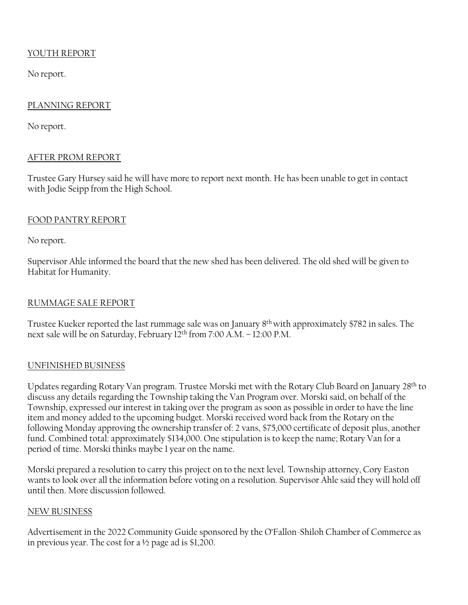# YOUTH REPORT

No report.

# PLANNING REPORT

No report.

# AFTER PROM REPORT

Trustee Gary Hursey said he will have more to report next month. He has been unable to get in contact with Jodie Seipp from the High School.

## FOOD PANTRY REPORT

No report.

Supervisor Ahle informed the board that the new shed has been delivered. The old shed will be given to Habitat for Humanity.

## RUMMAGE SALE REPORT

Trustee Kueker reported the last rummage sale was on January 8th with approximately \$782 in sales. The next sale will be on Saturday, February 12th from 7:00 A.M. – 12:00 P.M.

## UNFINISHED BUSINESS

Updates regarding Rotary Van program. Trustee Morski met with the Rotary Club Board on January 28th to discuss any details regarding the Township taking the Van Program over. Morski said, on behalf of the Township, expressed our interest in taking over the program as soon as possible in order to have the line item and money added to the upcoming budget. Morski received word back from the Rotary on the following Monday approving the ownership transfer of: 2 vans, \$75,000 certificate of deposit plus, another fund. Combined total: approximately \$134,000. One stipulation is to keep the name; Rotary Van for a period of time. Morski thinks maybe 1 year on the name.

Morski prepared a resolution to carry this project on to the next level. Township attorney, Cory Easton wants to look over all the information before voting on a resolution. Supervisor Ahle said they will hold off until then. More discussion followed.

## NEW BUSINESS

Advertisement in the 2022 Community Guide sponsored by the O'Fallon-Shiloh Chamber of Commerce as in previous year. The cost for a ½ page ad is \$1,200.